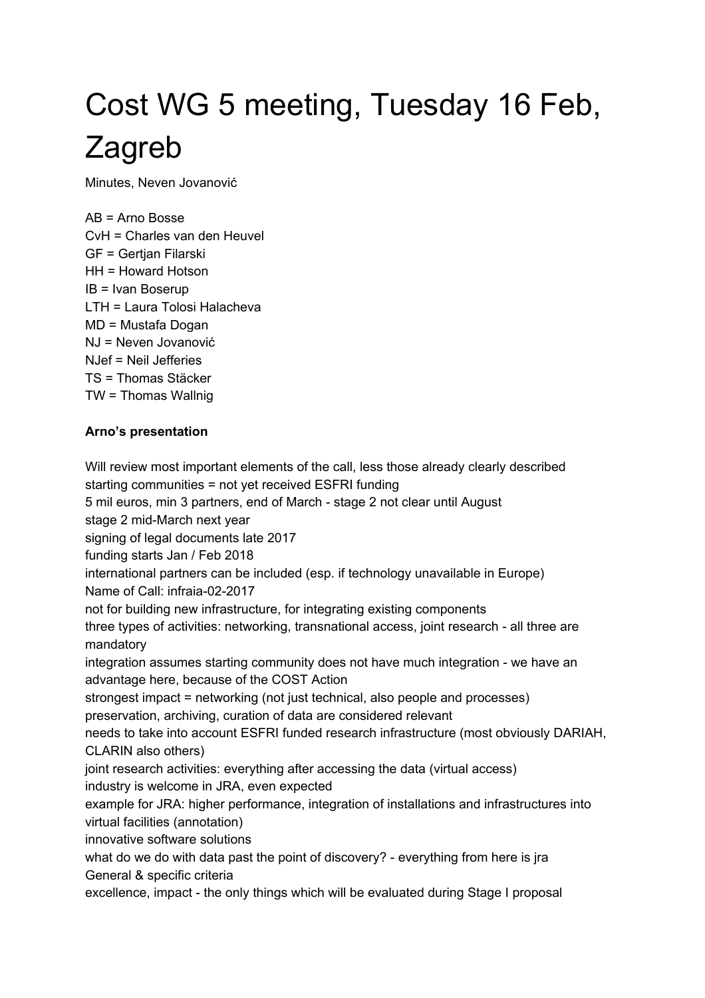# Cost WG 5 meeting, Tuesday 16 Feb, Zagreb

Minutes, Neven Jovanović

AB = Arno Bosse CvH = Charles van den Heuvel GF = Gertjan Filarski HH = Howard Hotson IB = Ivan Boserup LTH = Laura Tolosi Halacheva MD = Mustafa Dogan NJ = Neven Jovanović NJef = Neil Jefferies TS = Thomas Stäcker TW = Thomas Wallnig

# **Arno's presentation**

Will review most important elements of the call, less those already clearly described starting communities = not yet received ESFRI funding 5 mil euros, min 3 partners, end of March - stage 2 not clear until August stage 2 mid-March next year signing of legal documents late 2017 funding starts Jan / Feb 2018 international partners can be included (esp. if technology unavailable in Europe) Name of Call: infraia-02-2017 not for building new infrastructure, for integrating existing components three types of activities: networking, transnational access, joint research - all three are mandatory integration assumes starting community does not have much integration - we have an advantage here, because of the COST Action strongest impact = networking (not just technical, also people and processes) preservation, archiving, curation of data are considered relevant needs to take into account ESFRI funded research infrastructure (most obviously DARIAH, CLARIN also others) joint research activities: everything after accessing the data (virtual access) industry is welcome in JRA, even expected example for JRA: higher performance, integration of installations and infrastructures into virtual facilities (annotation) innovative software solutions what do we do with data past the point of discovery? - everything from here is jra General & specific criteria excellence, impact - the only things which will be evaluated during Stage I proposal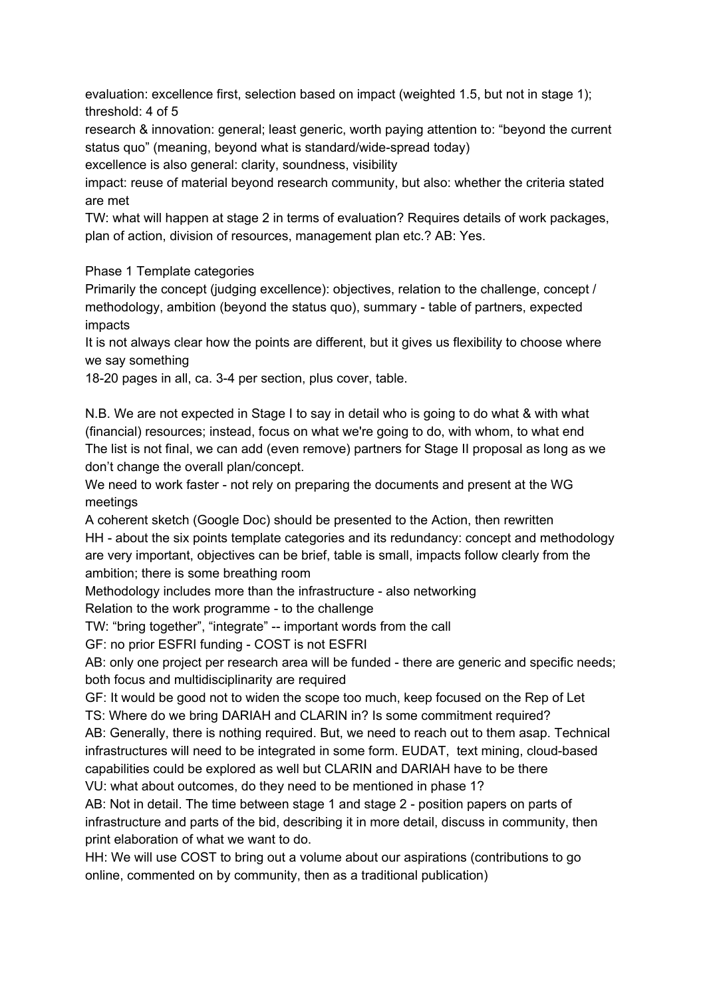evaluation: excellence first, selection based on impact (weighted 1.5, but not in stage 1); threshold: 4 of 5

research & innovation: general; least generic, worth paying attention to: "beyond the current status quo" (meaning, beyond what is standard/wide-spread today)

excellence is also general: clarity, soundness, visibility

impact: reuse of material beyond research community, but also: whether the criteria stated are met

TW: what will happen at stage 2 in terms of evaluation? Requires details of work packages, plan of action, division of resources, management plan etc.? AB: Yes.

Phase 1 Template categories

Primarily the concept (judging excellence): objectives, relation to the challenge, concept / methodology, ambition (beyond the status quo), summary - table of partners, expected impacts

It is not always clear how the points are different, but it gives us flexibility to choose where we say something

18-20 pages in all, ca. 3-4 per section, plus cover, table.

N.B. We are not expected in Stage I to say in detail who is going to do what & with what (financial) resources; instead, focus on what we're going to do, with whom, to what end The list is not final, we can add (even remove) partners for Stage II proposal as long as we don't change the overall plan/concept.

We need to work faster - not rely on preparing the documents and present at the WG meetings

A coherent sketch (Google Doc) should be presented to the Action, then rewritten HH - about the six points template categories and its redundancy: concept and methodology are very important, objectives can be brief, table is small, impacts follow clearly from the ambition; there is some breathing room

Methodology includes more than the infrastructure - also networking

Relation to the work programme - to the challenge

TW: "bring together", "integrate" -- important words from the call

GF: no prior ESFRI funding - COST is not ESFRI

AB: only one project per research area will be funded - there are generic and specific needs; both focus and multidisciplinarity are required

GF: It would be good not to widen the scope too much, keep focused on the Rep of Let TS: Where do we bring DARIAH and CLARIN in? Is some commitment required?

AB: Generally, there is nothing required. But, we need to reach out to them asap. Technical infrastructures will need to be integrated in some form. EUDAT, text mining, cloud-based capabilities could be explored as well but CLARIN and DARIAH have to be there VU: what about outcomes, do they need to be mentioned in phase 1?

AB: Not in detail. The time between stage 1 and stage 2 - position papers on parts of infrastructure and parts of the bid, describing it in more detail, discuss in community, then print elaboration of what we want to do.

HH: We will use COST to bring out a volume about our aspirations (contributions to go online, commented on by community, then as a traditional publication)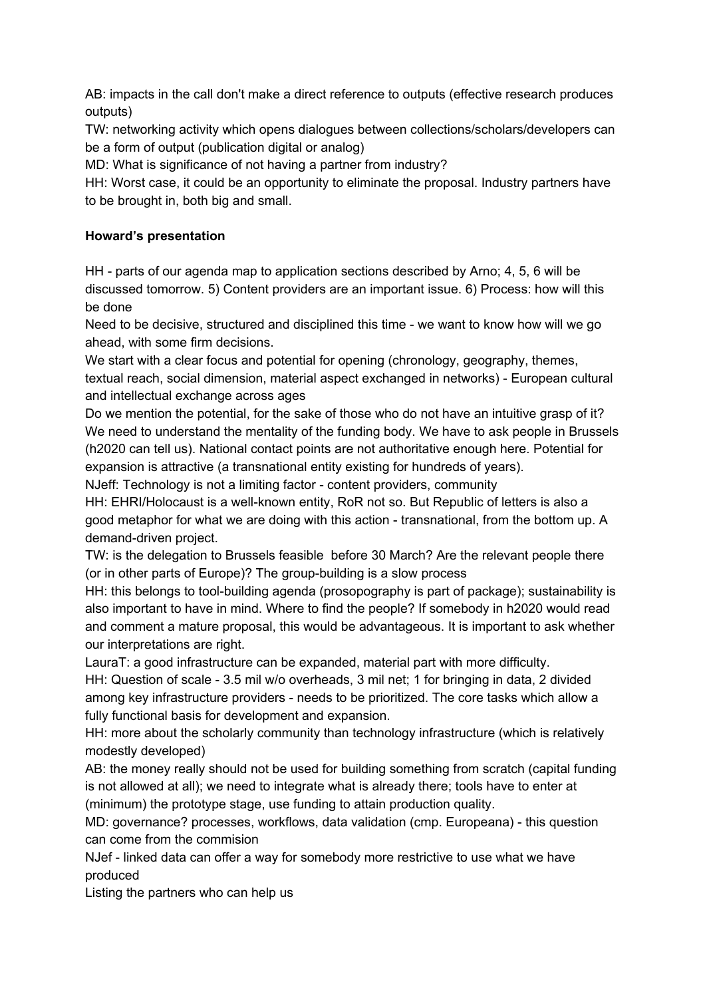AB: impacts in the call don't make a direct reference to outputs (effective research produces outputs)

TW: networking activity which opens dialogues between collections/scholars/developers can be a form of output (publication digital or analog)

MD: What is significance of not having a partner from industry?

HH: Worst case, it could be an opportunity to eliminate the proposal. Industry partners have to be brought in, both big and small.

# **Howard's presentation**

 $HH$  - parts of our agenda map to application sections described by Arno; 4, 5, 6 will be discussed tomorrow. 5) Content providers are an important issue. 6) Process: how will this be done

Need to be decisive, structured and disciplined this time - we want to know how will we go ahead, with some firm decisions.

We start with a clear focus and potential for opening (chronology, geography, themes, textual reach, social dimension, material aspect exchanged in networks) - European cultural and intellectual exchange across ages

Do we mention the potential, for the sake of those who do not have an intuitive grasp of it? We need to understand the mentality of the funding body. We have to ask people in Brussels (h2020 can tell us). National contact points are not authoritative enough here. Potential for expansion is attractive (a transnational entity existing for hundreds of years).

NJeff: Technology is not a limiting factor - content providers, community

HH: EHRI/Holocaust is a well-known entity, RoR not so. But Republic of letters is also a good metaphor for what we are doing with this action - transnational, from the bottom up. A demand-driven project.

TW: is the delegation to Brussels feasible before 30 March? Are the relevant people there (or in other parts of Europe)? The group-building is a slow process

HH: this belongs to tool-building agenda (prosopography is part of package); sustainability is also important to have in mind. Where to find the people? If somebody in h2020 would read and comment a mature proposal, this would be advantageous. It is important to ask whether our interpretations are right.

LauraT: a good infrastructure can be expanded, material part with more difficulty. HH: Question of scale - 3.5 mil w/o overheads, 3 mil net; 1 for bringing in data, 2 divided among key infrastructure providers - needs to be prioritized. The core tasks which allow a fully functional basis for development and expansion.

HH: more about the scholarly community than technology infrastructure (which is relatively modestly developed)

AB: the money really should not be used for building something from scratch (capital funding is not allowed at all); we need to integrate what is already there; tools have to enter at (minimum) the prototype stage, use funding to attain production quality.

MD: governance? processes, workflows, data validation (cmp. Europeana) this question can come from the commision

NJef - linked data can offer a way for somebody more restrictive to use what we have produced

Listing the partners who can help us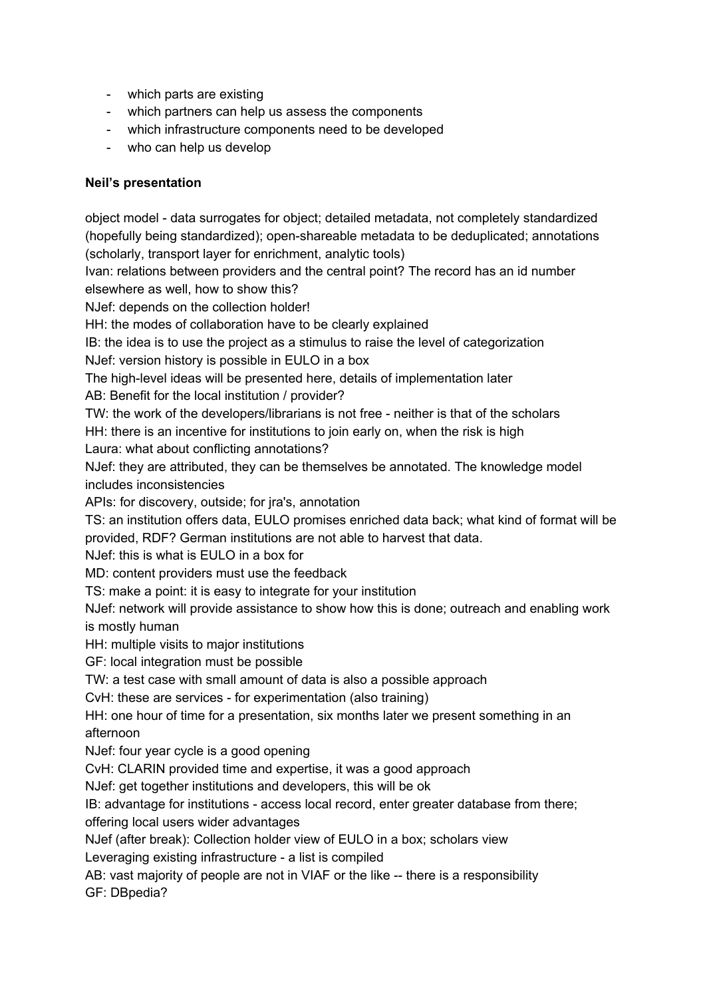- which parts are existing
- which partners can help us assess the components
- which infrastructure components need to be developed
- who can help us develop

#### **Neil's presentation**

object model - data surrogates for object; detailed metadata, not completely standardized (hopefully being standardized); open-shareable metadata to be deduplicated; annotations (scholarly, transport layer for enrichment, analytic tools)

Ivan: relations between providers and the central point? The record has an id number elsewhere as well, how to show this?

NJef: depends on the collection holder!

HH: the modes of collaboration have to be clearly explained

IB: the idea is to use the project as a stimulus to raise the level of categorization

NJef: version history is possible in EULO in a box

The high-level ideas will be presented here, details of implementation later

AB: Benefit for the local institution / provider?

TW: the work of the developers/librarians is not free - neither is that of the scholars

HH: there is an incentive for institutions to join early on, when the risk is high

Laura: what about conflicting annotations?

NJef: they are attributed, they can be themselves be annotated. The knowledge model includes inconsistencies

APIs: for discovery, outside; for jra's, annotation

TS: an institution offers data, EULO promises enriched data back; what kind of format will be provided, RDF? German institutions are not able to harvest that data.

NJef: this is what is EULO in a box for

MD: content providers must use the feedback

TS: make a point: it is easy to integrate for your institution

NJef: network will provide assistance to show how this is done; outreach and enabling work is mostly human

HH: multiple visits to major institutions

GF: local integration must be possible

TW: a test case with small amount of data is also a possible approach

CvH: these are services - for experimentation (also training)

HH: one hour of time for a presentation, six months later we present something in an afternoon

NJef: four year cycle is a good opening

CvH: CLARIN provided time and expertise, it was a good approach

NJef: get together institutions and developers, this will be ok

IB: advantage for institutions - access local record, enter greater database from there; offering local users wider advantages

NJef (after break): Collection holder view of EULO in a box; scholars view

Leveraging existing infrastructure - a list is compiled

AB: vast majority of people are not in VIAF or the like -- there is a responsibility

GF: DBpedia?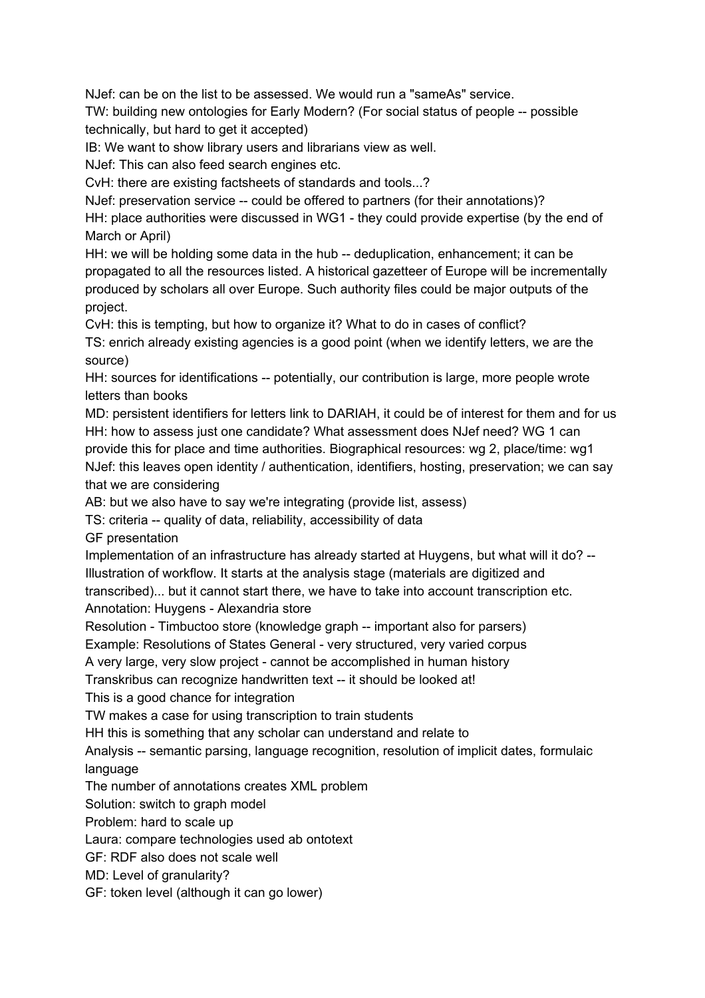NJef: can be on the list to be assessed. We would run a "sameAs" service.

TW: building new ontologies for Early Modern? (For social status of people -- possible technically, but hard to get it accepted)

IB: We want to show library users and librarians view as well.

NJef: This can also feed search engines etc.

CvH: there are existing factsheets of standards and tools...?

NJef: preservation service -- could be offered to partners (for their annotations)?

HH: place authorities were discussed in WG1 - they could provide expertise (by the end of March or April)

HH: we will be holding some data in the hub -- deduplication, enhancement; it can be propagated to all the resources listed. A historical gazetteer of Europe will be incrementally produced by scholars all over Europe. Such authority files could be major outputs of the project.

CvH: this is tempting, but how to organize it? What to do in cases of conflict?

TS: enrich already existing agencies is a good point (when we identify letters, we are the source)

HH: sources for identifications -- potentially, our contribution is large, more people wrote letters than books

MD: persistent identifiers for letters link to DARIAH, it could be of interest for them and for us HH: how to assess just one candidate? What assessment does NJef need? WG 1 can provide this for place and time authorities. Biographical resources: wg 2, place/time: wg1 NJef: this leaves open identity / authentication, identifiers, hosting, preservation; we can say that we are considering

AB: but we also have to say we're integrating (provide list, assess)

TS: criteria -- quality of data, reliability, accessibility of data

GF presentation

Implementation of an infrastructure has already started at Huygens, but what will it do? Illustration of workflow. It starts at the analysis stage (materials are digitized and transcribed)... but it cannot start there, we have to take into account transcription etc. Annotation: Huygens - Alexandria store

Resolution - Timbuctoo store (knowledge graph -- important also for parsers)

Example: Resolutions of States General - very structured, very varied corpus

A very large, very slow project cannot be accomplished in human history

Transkribus can recognize handwritten text -- it should be looked at!

This is a good chance for integration

TW makes a case for using transcription to train students

HH this is something that any scholar can understand and relate to

Analysis -- semantic parsing, language recognition, resolution of implicit dates, formulaic language

The number of annotations creates XML problem

Solution: switch to graph model

Problem: hard to scale up

Laura: compare technologies used ab ontotext

GF: RDF also does not scale well

MD: Level of granularity?

GF: token level (although it can go lower)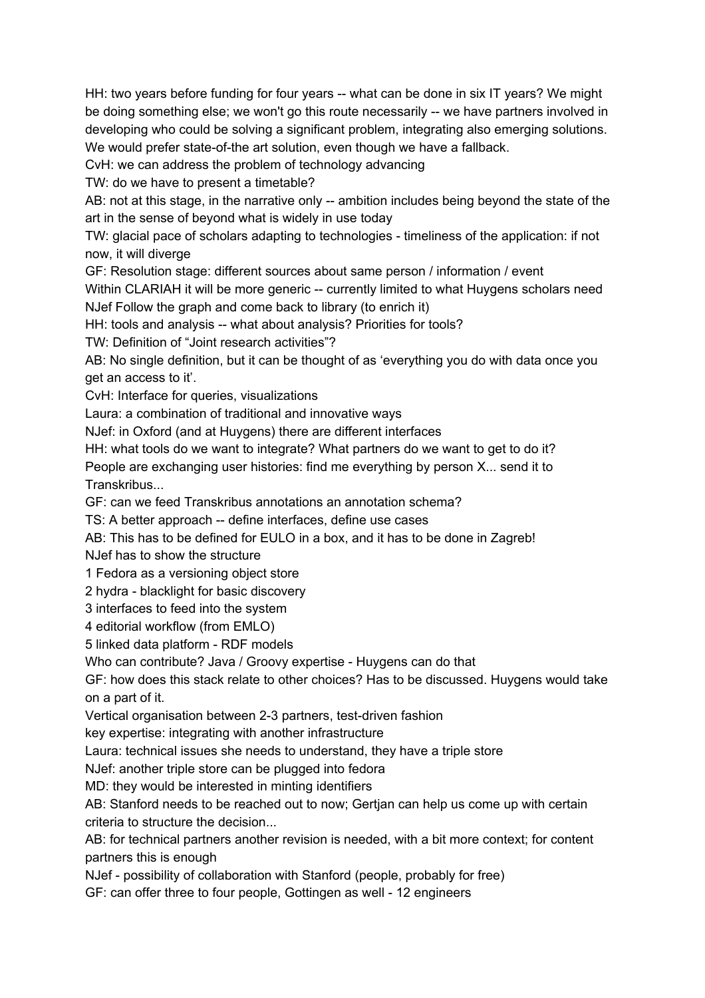HH: two years before funding for four years -- what can be done in six IT years? We might be doing something else; we won't go this route necessarily -- we have partners involved in developing who could be solving a significant problem, integrating also emerging solutions. We would prefer state-of-the art solution, even though we have a fallback.

CvH: we can address the problem of technology advancing

TW: do we have to present a timetable?

AB: not at this stage, in the narrative only -- ambition includes being beyond the state of the art in the sense of beyond what is widely in use today

TW: glacial pace of scholars adapting to technologies - timeliness of the application: if not now, it will diverge

GF: Resolution stage: different sources about same person / information / event

Within CLARIAH it will be more generic -- currently limited to what Huygens scholars need NJef Follow the graph and come back to library (to enrich it)

HH: tools and analysis -- what about analysis? Priorities for tools?

TW: Definition of "Joint research activities"?

AB: No single definition, but it can be thought of as 'everything you do with data once you get an access to it'.

CvH: Interface for queries, visualizations

Laura: a combination of traditional and innovative ways

NJef: in Oxford (and at Huygens) there are different interfaces

HH: what tools do we want to integrate? What partners do we want to get to do it?

People are exchanging user histories: find me everything by person X... send it to Transkribus...

GF: can we feed Transkribus annotations an annotation schema?

TS: A better approach -- define interfaces, define use cases

AB: This has to be defined for EULO in a box, and it has to be done in Zagreb!

NJef has to show the structure

1 Fedora as a versioning object store

2 hydra - blacklight for basic discovery

3 interfaces to feed into the system

4 editorial workflow (from EMLO)

5 linked data platform - RDF models

Who can contribute? Java / Groovy expertise - Huygens can do that

GF: how does this stack relate to other choices? Has to be discussed. Huygens would take on a part of it.

Vertical organisation between 2-3 partners, test-driven fashion

key expertise: integrating with another infrastructure

Laura: technical issues she needs to understand, they have a triple store

NJef: another triple store can be plugged into fedora

MD: they would be interested in minting identifiers

AB: Stanford needs to be reached out to now; Gertjan can help us come up with certain criteria to structure the decision...

AB: for technical partners another revision is needed, with a bit more context; for content partners this is enough

NJef - possibility of collaboration with Stanford (people, probably for free)

GF: can offer three to four people, Gottingen as well - 12 engineers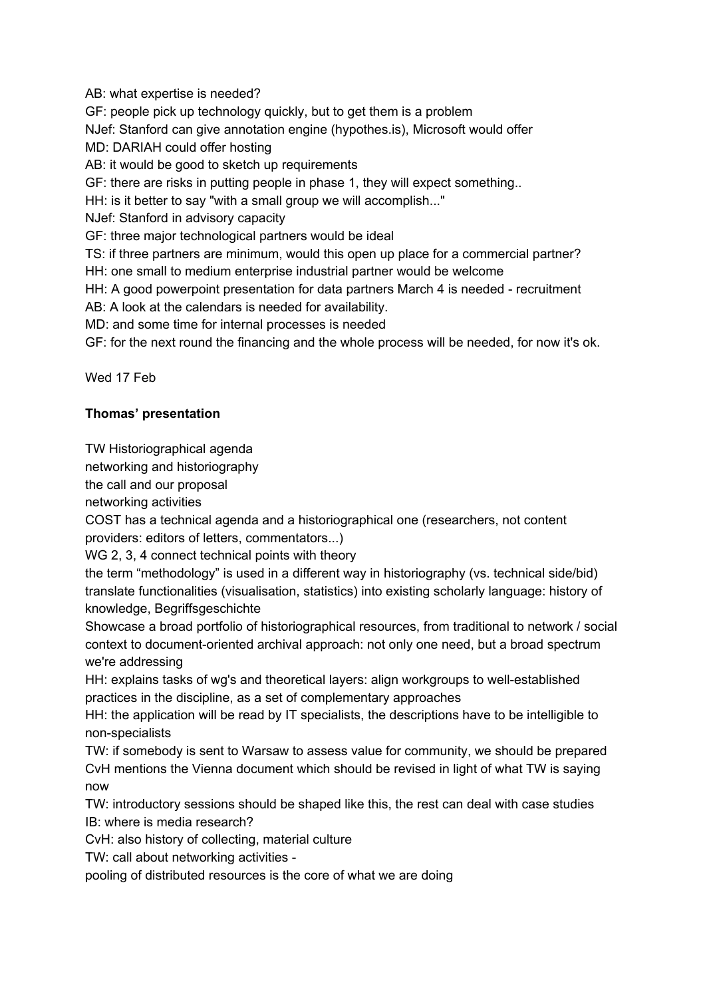AB: what expertise is needed?

GF: people pick up technology quickly, but to get them is a problem

NJef: Stanford can give annotation engine (hypothes.is), Microsoft would offer

MD: DARIAH could offer hosting

AB: it would be good to sketch up requirements

GF: there are risks in putting people in phase 1, they will expect something..

HH: is it better to say "with a small group we will accomplish..."

NJef: Stanford in advisory capacity

GF: three major technological partners would be ideal

TS: if three partners are minimum, would this open up place for a commercial partner?

HH: one small to medium enterprise industrial partner would be welcome

HH: A good powerpoint presentation for data partners March 4 is needed - recruitment

AB: A look at the calendars is needed for availability.

MD: and some time for internal processes is needed

GF: for the next round the financing and the whole process will be needed, for now it's ok.

Wed 17 Feb

# **Thomas' presentation**

TW Historiographical agenda

networking and historiography

the call and our proposal

networking activities

COST has a technical agenda and a historiographical one (researchers, not content providers: editors of letters, commentators...)

WG 2, 3, 4 connect technical points with theory

the term "methodology" is used in a different way in historiography (vs. technical side/bid) translate functionalities (visualisation, statistics) into existing scholarly language: history of knowledge, Begriffsgeschichte

Showcase a broad portfolio of historiographical resources, from traditional to network / social context to document-oriented archival approach: not only one need, but a broad spectrum we're addressing

HH: explains tasks of wg's and theoretical layers: align workgroups to wellestablished practices in the discipline, as a set of complementary approaches

HH: the application will be read by IT specialists, the descriptions have to be intelligible to non-specialists

TW: if somebody is sent to Warsaw to assess value for community, we should be prepared CvH mentions the Vienna document which should be revised in light of what TW is saying now

TW: introductory sessions should be shaped like this, the rest can deal with case studies IB: where is media research?

CvH: also history of collecting, material culture

TW: call about networking activities

pooling of distributed resources is the core of what we are doing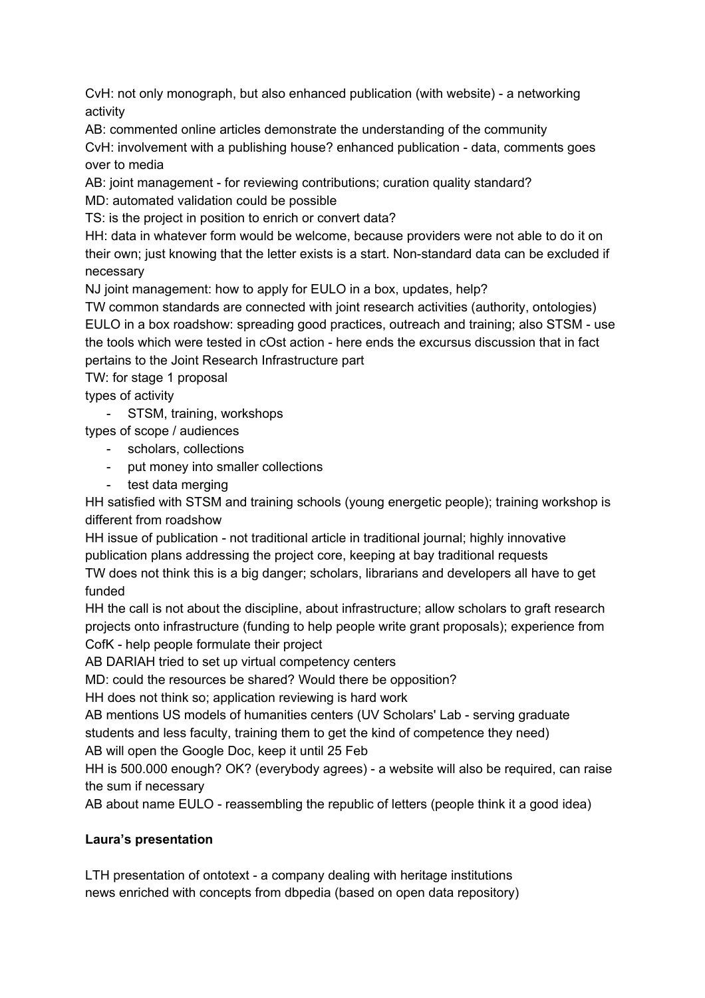CvH: not only monograph, but also enhanced publication (with website) - a networking activity

AB: commented online articles demonstrate the understanding of the community

CvH: involvement with a publishing house? enhanced publication - data, comments goes over to media

AB: joint management - for reviewing contributions; curation quality standard?

MD: automated validation could be possible

TS: is the project in position to enrich or convert data?

HH: data in whatever form would be welcome, because providers were not able to do it on their own; just knowing that the letter exists is a start. Non-standard data can be excluded if necessary

NJ joint management: how to apply for EULO in a box, updates, help?

TW common standards are connected with joint research activities (authority, ontologies) EULO in a box roadshow: spreading good practices, outreach and training; also STSM use the tools which were tested in cOst action - here ends the excursus discussion that in fact pertains to the Joint Research Infrastructure part

TW: for stage 1 proposal

types of activity

- STSM, training, workshops

types of scope / audiences

- scholars, collections
- put money into smaller collections
- test data merging

HH satisfied with STSM and training schools (young energetic people); training workshop is different from roadshow

HH issue of publication - not traditional article in traditional journal; highly innovative publication plans addressing the project core, keeping at bay traditional requests TW does not think this is a big danger; scholars, librarians and developers all have to get funded

HH the call is not about the discipline, about infrastructure; allow scholars to graft research projects onto infrastructure (funding to help people write grant proposals); experience from CofK - help people formulate their project

AB DARIAH tried to set up virtual competency centers

MD: could the resources be shared? Would there be opposition?

HH does not think so; application reviewing is hard work

AB mentions US models of humanities centers (UV Scholars' Lab - serving graduate students and less faculty, training them to get the kind of competence they need)

AB will open the Google Doc, keep it until 25 Feb

HH is 500.000 enough? OK? (everybody agrees) - a website will also be required, can raise the sum if necessary

AB about name EULO - reassembling the republic of letters (people think it a good idea)

# **Laura's presentation**

LTH presentation of ontotext - a company dealing with heritage institutions news enriched with concepts from dbpedia (based on open data repository)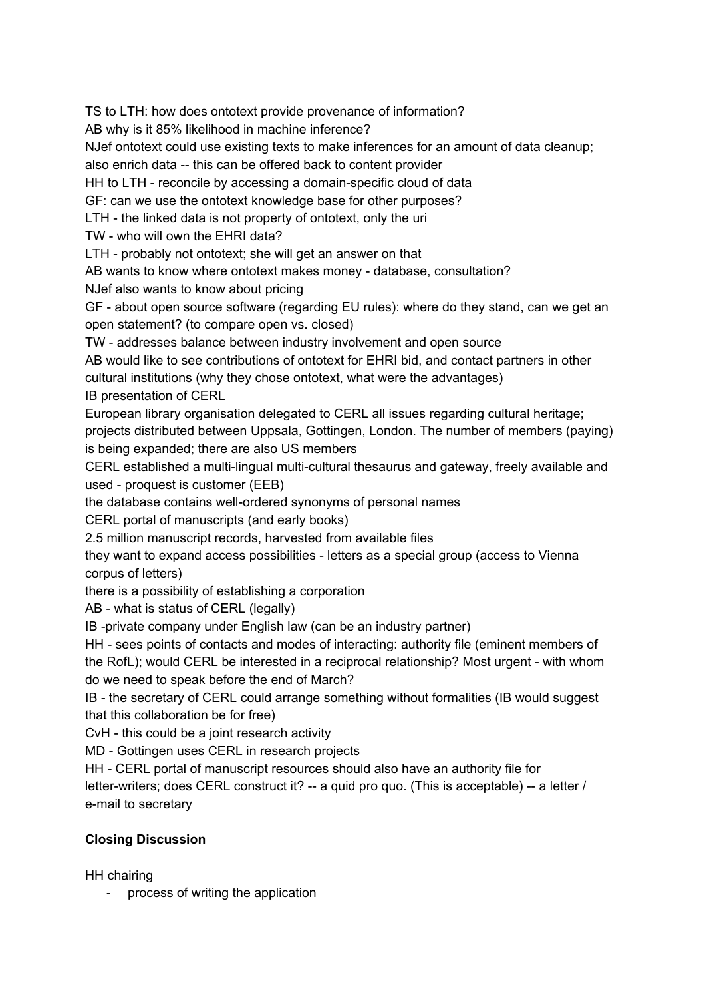TS to LTH: how does ontotext provide provenance of information?

AB why is it 85% likelihood in machine inference?

NJef ontotext could use existing texts to make inferences for an amount of data cleanup;

also enrich data -- this can be offered back to content provider

HH to LTH - reconcile by accessing a domain-specific cloud of data

GF: can we use the ontotext knowledge base for other purposes?

LTH - the linked data is not property of ontotext, only the uri

TW - who will own the EHRI data?

LTH - probably not ontotext; she will get an answer on that

AB wants to know where ontotext makes money - database, consultation?

NJef also wants to know about pricing

GF about open source software (regarding EU rules): where do they stand, can we get an open statement? (to compare open vs. closed)

TW - addresses balance between industry involvement and open source

AB would like to see contributions of ontotext for EHRI bid, and contact partners in other cultural institutions (why they chose ontotext, what were the advantages) IB presentation of CERL

European library organisation delegated to CERL all issues regarding cultural heritage; projects distributed between Uppsala, Gottingen, London. The number of members (paying) is being expanded; there are also US members

CERL established a multi-lingual multi-cultural thesaurus and gateway, freely available and used - proquest is customer (EEB)

the database contains well-ordered synonyms of personal names

CERL portal of manuscripts (and early books)

2.5 million manuscript records, harvested from available files

they want to expand access possibilities - letters as a special group (access to Vienna corpus of letters)

there is a possibility of establishing a corporation

AB - what is status of CERL (legally)

IB-private company under English law (can be an industry partner)

HH - sees points of contacts and modes of interacting: authority file (eminent members of the RofL); would CERL be interested in a reciprocal relationship? Most urgent with whom do we need to speak before the end of March?

IB - the secretary of CERL could arrange something without formalities (IB would suggest that this collaboration be for free)

CvH - this could be a joint research activity

MD - Gottingen uses CERL in research projects

HH - CERL portal of manuscript resources should also have an authority file for

letter-writers; does CERL construct it? -- a quid pro quo. (This is acceptable) -- a letter / e-mail to secretary

# **Closing Discussion**

HH chairing

process of writing the application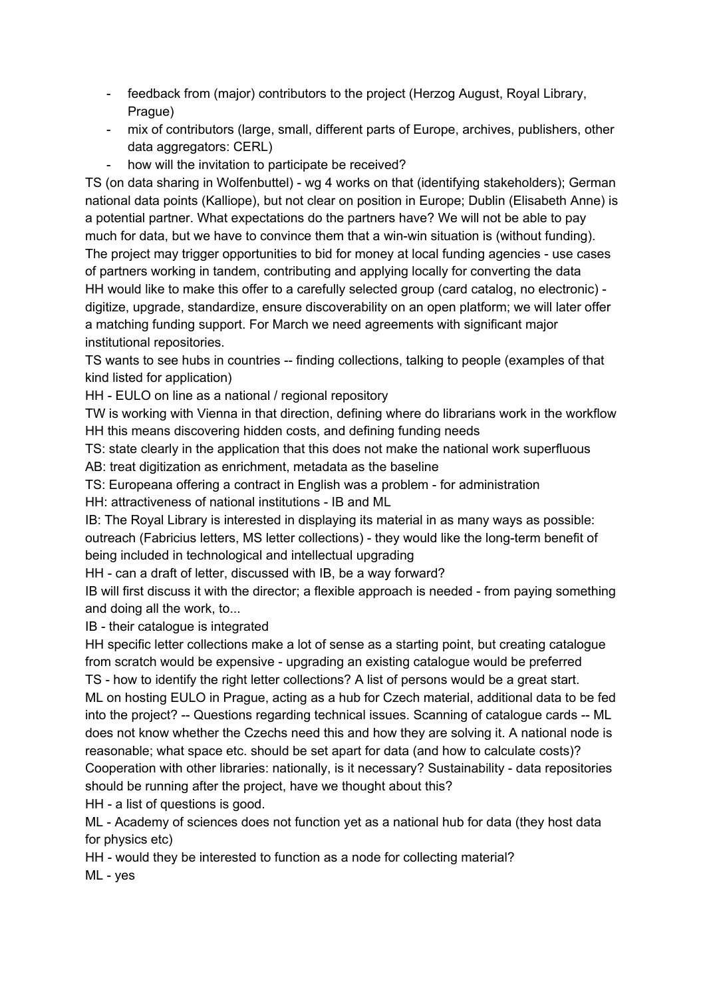- feedback from (major) contributors to the project (Herzog August, Royal Library, Prague)
- mix of contributors (large, small, different parts of Europe, archives, publishers, other data aggregators: CERL)
- how will the invitation to participate be received?

TS (on data sharing in Wolfenbuttel) - wg 4 works on that (identifying stakeholders); German national data points (Kalliope), but not clear on position in Europe; Dublin (Elisabeth Anne) is a potential partner. What expectations do the partners have? We will not be able to pay much for data, but we have to convince them that a win-win situation is (without funding). The project may trigger opportunities to bid for money at local funding agencies - use cases of partners working in tandem, contributing and applying locally for converting the data HH would like to make this offer to a carefully selected group (card catalog, no electronic) digitize, upgrade, standardize, ensure discoverability on an open platform; we will later offer a matching funding support. For March we need agreements with significant major institutional repositories.

TS wants to see hubs in countries -- finding collections, talking to people (examples of that kind listed for application)

HH - EULO on line as a national / regional repository

TW is working with Vienna in that direction, defining where do librarians work in the workflow HH this means discovering hidden costs, and defining funding needs

TS: state clearly in the application that this does not make the national work superfluous

AB: treat digitization as enrichment, metadata as the baseline

TS: Europeana offering a contract in English was a problem - for administration

HH: attractiveness of national institutions - IB and ML

IB: The Royal Library is interested in displaying its material in as many ways as possible: outreach (Fabricius letters, MS letter collections) - they would like the long-term benefit of being included in technological and intellectual upgrading

HH - can a draft of letter, discussed with IB, be a way forward?

IB will first discuss it with the director; a flexible approach is needed - from paying something and doing all the work, to...

IB - their catalogue is integrated

HH specific letter collections make a lot of sense as a starting point, but creating catalogue from scratch would be expensive - upgrading an existing catalogue would be preferred

TS - how to identify the right letter collections? A list of persons would be a great start. ML on hosting EULO in Prague, acting as a hub for Czech material, additional data to be fed into the project? -- Questions regarding technical issues. Scanning of catalogue cards -- ML does not know whether the Czechs need this and how they are solving it. A national node is reasonable; what space etc. should be set apart for data (and how to calculate costs)? Cooperation with other libraries: nationally, is it necessary? Sustainability - data repositories should be running after the project, have we thought about this?

HH - a list of questions is good.

ML - Academy of sciences does not function yet as a national hub for data (they host data for physics etc)

HH - would they be interested to function as a node for collecting material?

ML - yes